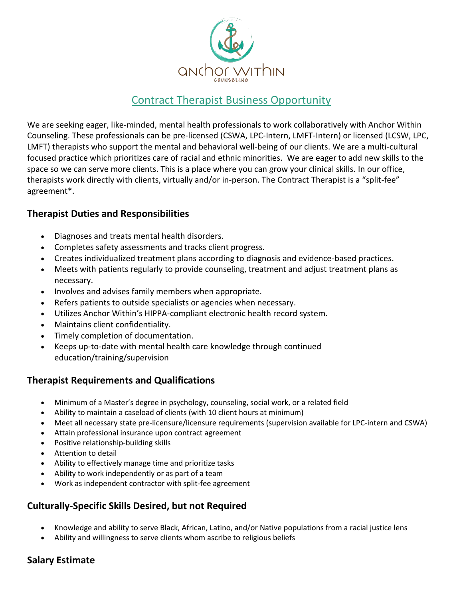

# Contract Therapist Business Opportunity

We are seeking eager, like-minded, mental health professionals to work collaboratively with Anchor Within Counseling. These professionals can be pre-licensed (CSWA, LPC-Intern, LMFT-Intern) or licensed (LCSW, LPC, LMFT) therapists who support the mental and behavioral well-being of our clients. We are a multi-cultural focused practice which prioritizes care of racial and ethnic minorities. We are eager to add new skills to the space so we can serve more clients. This is a place where you can grow your clinical skills. In our office, therapists work directly with clients, virtually and/or in-person. The Contract Therapist is a "split-fee" agreement\*.

#### **Therapist Duties and Responsibilities**

- Diagnoses and treats mental health disorders.
- Completes safety assessments and tracks client progress.
- Creates individualized treatment plans according to diagnosis and evidence-based practices.
- Meets with patients regularly to provide counseling, treatment and adjust treatment plans as necessary.
- Involves and advises family members when appropriate.
- Refers patients to outside specialists or agencies when necessary.
- Utilizes Anchor Within's HIPPA-compliant electronic health record system.
- Maintains client confidentiality.
- Timely completion of documentation.
- Keeps up-to-date with mental health care knowledge through continued education/training/supervision

## **Therapist Requirements and Qualifications**

- Minimum of a Master's degree in psychology, counseling, social work, or a related field
- Ability to maintain a caseload of clients (with 10 client hours at minimum)
- Meet all necessary state pre-licensure/licensure requirements (supervision available for LPC-intern and CSWA)
- Attain professional insurance upon contract agreement
- Positive relationship-building skills
- Attention to detail
- Ability to effectively manage time and prioritize tasks
- Ability to work independently or as part of a team
- Work as independent contractor with split-fee agreement

## **Culturally-Specific Skills Desired, but not Required**

- Knowledge and ability to serve Black, African, Latino, and/or Native populations from a racial justice lens
- Ability and willingness to serve clients whom ascribe to religious beliefs

## **Salary Estimate**